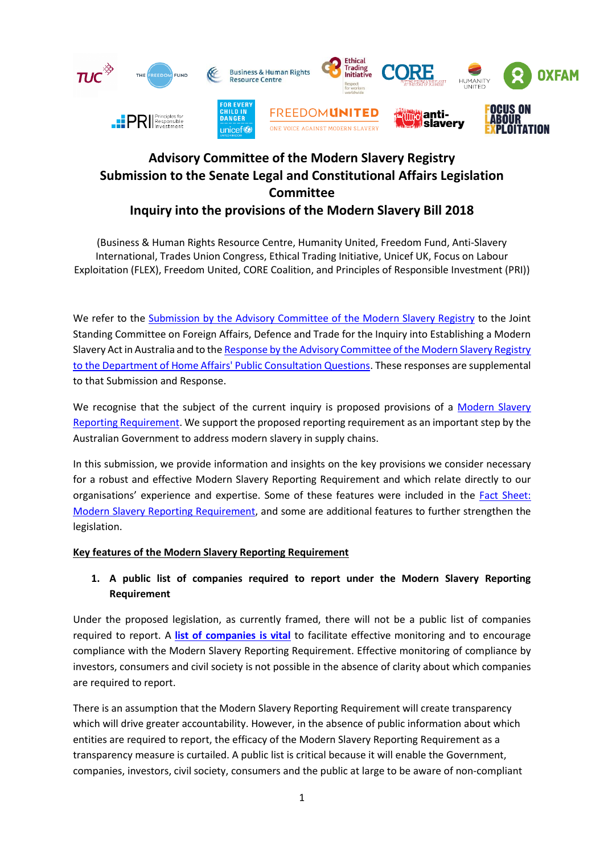

(Business & Human Rights Resource Centre, Humanity United, Freedom Fund, Anti-Slavery International, Trades Union Congress, Ethical Trading Initiative, Unicef UK, Focus on Labour Exploitation (FLEX), Freedom United, CORE Coalition, and Principles of Responsible Investment (PRI))

We refer to the [Submission by the Advisory Committee of](https://business-humanrights.org/sites/default/files/documents/Modern%20Slavery%20Registry%20Advisory%20Committee%20submission_Inquiry%20into%20establishing%20Modern%20Slavery%20Act%20in%20Australia.pdf) the Modern Slavery Registry to the Joint Standing Committee on Foreign Affairs, Defence and Trade for the Inquiry into Establishing a Modern Slavery Act in Australia and to th[e Response by the Advisory Committee of the Modern Slavery Registry](https://www.business-humanrights.org/sites/default/files/documents/MSA%20Consultation%20FINAL%20logos.pdf)  [to the Department of Home Affairs' Public Consultation Questions.](https://www.business-humanrights.org/sites/default/files/documents/MSA%20Consultation%20FINAL%20logos.pdf) These responses are supplemental to that Submission and Response.

We recognise that the subject of the current inquiry is proposed provisions of a Modern Slavery [Reporting Requirement.](http://parlinfo.aph.gov.au/parlInfo/search/display/display.w3p;query=Id%3A%22legislation%2Fbills%2Fr6148_first-reps%2F0000%22;rec=0) We support the proposed reporting requirement as an important step by the Australian Government to address modern slavery in supply chains.

In this submission, we provide information and insights on the key provisions we consider necessary for a robust and effective Modern Slavery Reporting Requirement and which relate directly to our organisations' experience and expertise. Some of these features were included in the [Fact Sheet:](https://homeaffairs.gov.au/consultations/Documents/modern-slavery/modern-slavery-reporting-requirement.pdf)  [Modern Slavery Reporting Requirement,](https://homeaffairs.gov.au/consultations/Documents/modern-slavery/modern-slavery-reporting-requirement.pdf) and some are additional features to further strengthen the legislation.

### **Key features of the Modern Slavery Reporting Requirement**

## **1. A public list of companies required to report under the Modern Slavery Reporting Requirement**

Under the proposed legislation, as currently framed, there will not be a public list of companies required to report. A **[list of companies](http://news.trust.org/item/20180628094216-6dg9f) is vital** to facilitate effective monitoring and to encourage compliance with the Modern Slavery Reporting Requirement. Effective monitoring of compliance by investors, consumers and civil society is not possible in the absence of clarity about which companies are required to report.

There is an assumption that the Modern Slavery Reporting Requirement will create transparency which will drive greater accountability. However, in the absence of public information about which entities are required to report, the efficacy of the Modern Slavery Reporting Requirement as a transparency measure is curtailed. A public list is critical because it will enable the Government, companies, investors, civil society, consumers and the public at large to be aware of non-compliant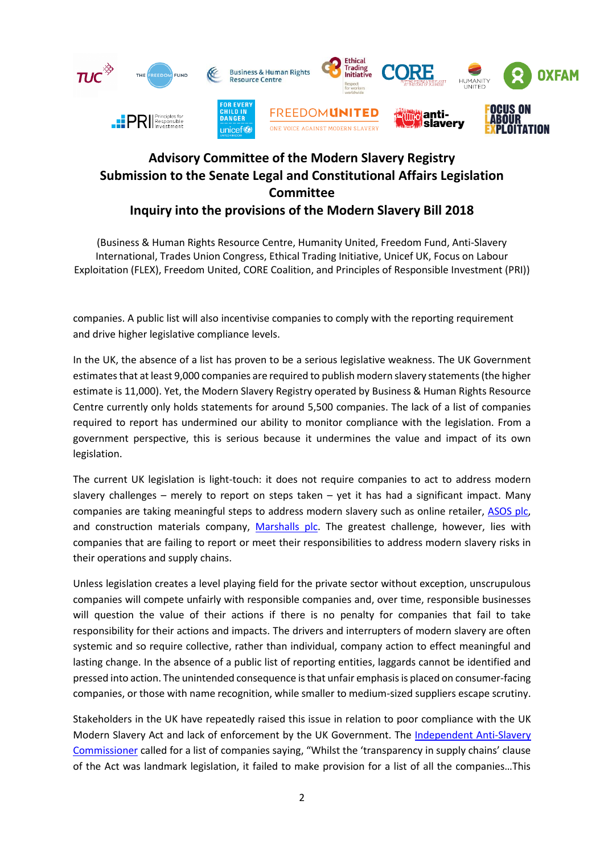

(Business & Human Rights Resource Centre, Humanity United, Freedom Fund, Anti-Slavery International, Trades Union Congress, Ethical Trading Initiative, Unicef UK, Focus on Labour Exploitation (FLEX), Freedom United, CORE Coalition, and Principles of Responsible Investment (PRI))

companies. A public list will also incentivise companies to comply with the reporting requirement and drive higher legislative compliance levels.

In the UK, the absence of a list has proven to be a serious legislative weakness. The UK Government estimates that at least 9,000 companies are required to publish modern slavery statements (the higher estimate is 11,000). Yet, the [Modern Slavery Registry](https://www.modernslaveryregistry.org/) operated by Business & Human Rights Resource Centre currently only holds statements for around 5,500 companies. The lack of a list of companies required to report has undermined our ability to monitor compliance with the legislation. From a government perspective, this is serious because it undermines the value and impact of its own legislation.

The current UK legislation is light-touch: it does not require companies to act to address modern slavery challenges – merely to report on steps taken – yet it has had a significant impact. Many companies are taking meaningful steps to address modern slavery such as online retailer, [ASOS plc,](https://www.asosplc.com/~/media/Files/A/Asos-V2/documents/asos-modern-slavery-statement-2016-18.pdf) and construction materials company, [Marshalls plc.](https://www.marshalls.co.uk/documents/policies/modern%20slavery%20statement%202018.pdf) The greatest challenge, however, lies with companies that are failing to report or meet their responsibilities to address modern slavery risks in their operations and supply chains.

Unless legislation creates a level playing field for the private sector without exception, unscrupulous companies will compete unfairly with responsible companies and, over time, responsible businesses will question the value of their actions if there is no penalty for companies that fail to take responsibility for their actions and impacts. The drivers and interrupters of modern slavery are often systemic and so require collective, rather than individual, company action to effect meaningful and lasting change. In the absence of a public list of reporting entities, laggards cannot be identified and pressed into action. The unintended consequence is that unfair emphasis is placed on consumer-facing companies, or those with name recognition, while smaller to medium-sized suppliers escape scrutiny.

Stakeholders in the UK have repeatedly raised this issue in relation to poor compliance with the UK Modern Slavery Act and lack of enforcement by the UK Government. The [Independent Anti-Slavery](http://www.antislaverycommissioner.co.uk/news-insights/taking-action-on-slavery-in-the-private-sector/)  [Commissioner](http://www.antislaverycommissioner.co.uk/news-insights/taking-action-on-slavery-in-the-private-sector/) called for a list of companies saying, "Whilst the 'transparency in supply chains' clause of the Act was landmark legislation, it failed to make provision for a list of all the companies…This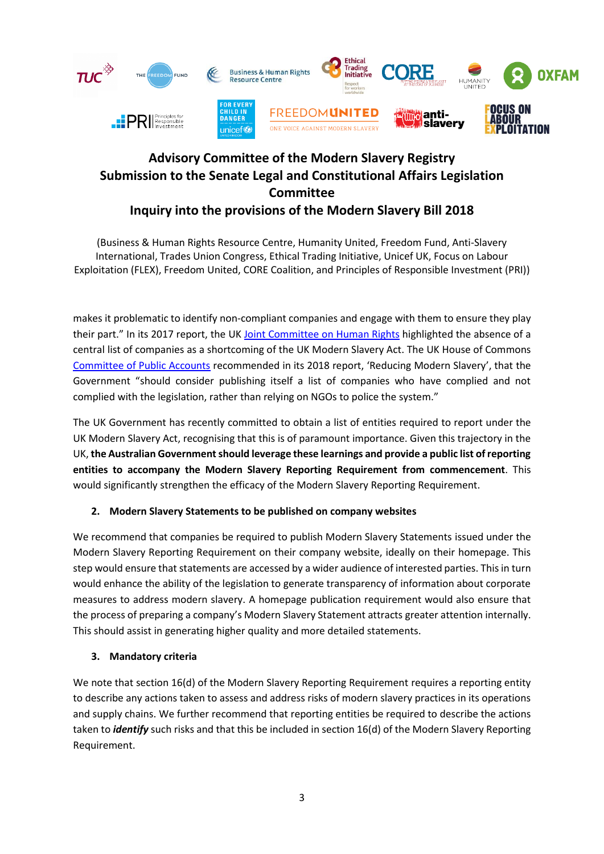

(Business & Human Rights Resource Centre, Humanity United, Freedom Fund, Anti-Slavery International, Trades Union Congress, Ethical Trading Initiative, Unicef UK, Focus on Labour Exploitation (FLEX), Freedom United, CORE Coalition, and Principles of Responsible Investment (PRI))

makes it problematic to identify non-compliant companies and engage with them to ensure they play their part." In its 2017 report, the UK [Joint Committee on Human Rights](https://publications.parliament.uk/pa/jt201617/jtselect/jtrights/443/44308.htm#_idTextAnchor046) highlighted the absence of a central list of companies as a shortcoming of the UK Modern Slavery Act. The UK House of Commons [Committee of Public Accounts](https://publications.parliament.uk/pa/cm201719/cmselect/cmpubacc/886/886.pdf) recommended in its 2018 report, 'Reducing Modern Slavery', that the Government "should consider publishing itself a list of companies who have complied and not complied with the legislation, rather than relying on NGOs to police the system."

The UK Government has recently committed to obtain a list of entities required to report under the UK Modern Slavery Act, recognising that this is of paramount importance. Given this trajectory in the UK, **the Australian Government should leverage these learnings and provide a public list of reporting entities to accompany the Modern Slavery Reporting Requirement from commencement**. This would significantly strengthen the efficacy of the Modern Slavery Reporting Requirement.

### **2. Modern Slavery Statements to be published on company websites**

We recommend that companies be required to publish Modern Slavery Statements issued under the Modern Slavery Reporting Requirement on their company website, ideally on their homepage. This step would ensure that statements are accessed by a wider audience of interested parties. This in turn would enhance the ability of the legislation to generate transparency of information about corporate measures to address modern slavery. A homepage publication requirement would also ensure that the process of preparing a company's Modern Slavery Statement attracts greater attention internally. This should assist in generating higher quality and more detailed statements.

### **3. Mandatory criteria**

We note that section 16(d) of the Modern Slavery Reporting Requirement requires a reporting entity to describe any actions taken to assess and address risks of modern slavery practices in its operations and supply chains. We further recommend that reporting entities be required to describe the actions taken to *identify* such risks and that this be included in section 16(d) of the Modern Slavery Reporting Requirement.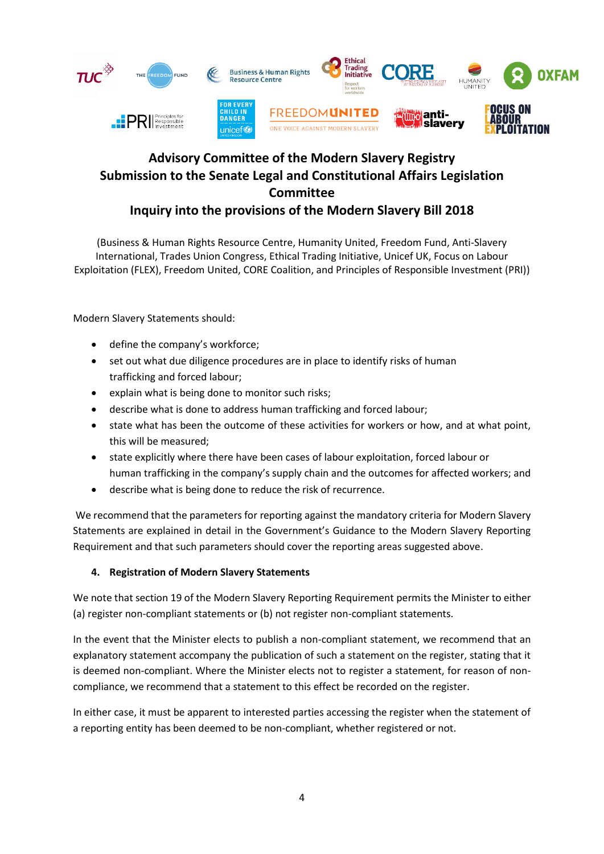

(Business & Human Rights Resource Centre, Humanity United, Freedom Fund, Anti-Slavery International, Trades Union Congress, Ethical Trading Initiative, Unicef UK, Focus on Labour Exploitation (FLEX), Freedom United, CORE Coalition, and Principles of Responsible Investment (PRI))

Modern Slavery Statements should:

- define the company's workforce;
- set out what due diligence procedures are in place to identify risks of human trafficking and forced labour;
- explain what is being done to monitor such risks;
- describe what is done to address human trafficking and forced labour;
- state what has been the outcome of these activities for workers or how, and at what point, this will be measured;
- state explicitly where there have been cases of labour exploitation, forced labour or human trafficking in the company's supply chain and the outcomes for affected workers; and
- describe what is being done to reduce the risk of recurrence.

We recommend that the parameters for reporting against the mandatory criteria for Modern Slavery Statements are explained in detail in the Government's Guidance to the Modern Slavery Reporting Requirement and that such parameters should cover the reporting areas suggested above.

#### **4. Registration of Modern Slavery Statements**

We note that section 19 of the Modern Slavery Reporting Requirement permits the Minister to either (a) register non-compliant statements or (b) not register non-compliant statements.

In the event that the Minister elects to publish a non-compliant statement, we recommend that an explanatory statement accompany the publication of such a statement on the register, stating that it is deemed non-compliant. Where the Minister elects not to register a statement, for reason of noncompliance, we recommend that a statement to this effect be recorded on the register.

In either case, it must be apparent to interested parties accessing the register when the statement of a reporting entity has been deemed to be non-compliant, whether registered or not.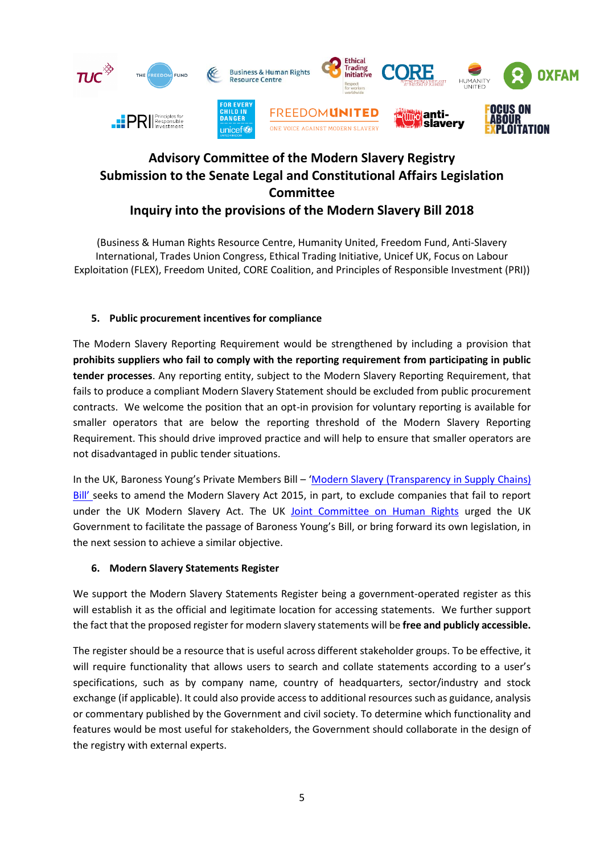

(Business & Human Rights Resource Centre, Humanity United, Freedom Fund, Anti-Slavery International, Trades Union Congress, Ethical Trading Initiative, Unicef UK, Focus on Labour Exploitation (FLEX), Freedom United, CORE Coalition, and Principles of Responsible Investment (PRI))

### **5. Public procurement incentives for compliance**

The Modern Slavery Reporting Requirement would be strengthened by including a provision that **prohibits suppliers who fail to comply with the reporting requirement from participating in public tender processes**. Any reporting entity, subject to the Modern Slavery Reporting Requirement, that fails to produce a compliant Modern Slavery Statement should be excluded from public procurement contracts. We welcome the position that an opt-in provision for voluntary reporting is available for smaller operators that are below the reporting threshold of the Modern Slavery Reporting Requirement. This should drive improved practice and will help to ensure that smaller operators are not disadvantaged in public tender situations.

In the UK, Baroness Young's Private Members Bill – 'Modern Slavery (Transparency in Supply Chains) [Bill](https://publications.parliament.uk/pa/bills/cbill/2016-2017/0105/17105.pdf)' seeks to amend the Modern Slavery Act 2015, in part, to exclude companies that fail to report under the UK Modern Slavery Act. The UK [Joint Committee on Human Rights](https://publications.parliament.uk/pa/jt201617/jtselect/jtrights/443/44308.htm#footnote-097-backlink) urged the UK Government to facilitate the passage of Baroness Young's Bill, or bring forward its own legislation, in the next session to achieve a similar objective.

### **6. Modern Slavery Statements Register**

We support the Modern Slavery Statements Register being a government-operated register as this will establish it as the official and legitimate location for accessing statements. We further support the fact that the proposed register for modern slavery statements will be **free and publicly accessible.** 

The register should be a resource that is useful across different stakeholder groups. To be effective, it will require functionality that allows users to search and collate statements according to a user's specifications, such as by company name, country of headquarters, sector/industry and stock exchange (if applicable). It could also provide access to additional resources such as guidance, analysis or commentary published by the Government and civil society. To determine which functionality and features would be most useful for stakeholders, the Government should collaborate in the design of the registry with external experts.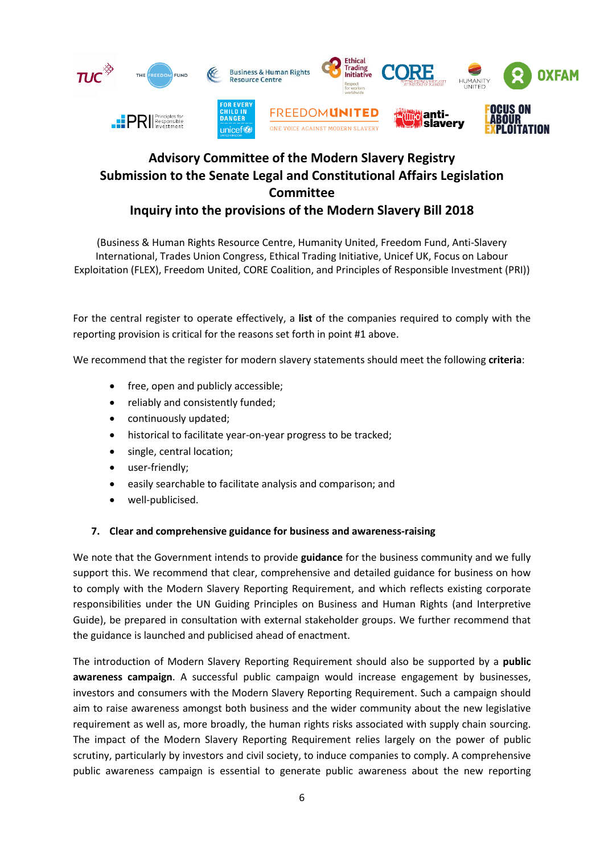

(Business & Human Rights Resource Centre, Humanity United, Freedom Fund, Anti-Slavery International, Trades Union Congress, Ethical Trading Initiative, Unicef UK, Focus on Labour Exploitation (FLEX), Freedom United, CORE Coalition, and Principles of Responsible Investment (PRI))

For the central register to operate effectively, a **list** of the companies required to comply with the reporting provision is critical for the reasons set forth in point #1 above.

We recommend that the register for modern slavery statements should meet the following **criteria**:

- free, open and publicly accessible;
- reliably and consistently funded;
- continuously updated;
- historical to facilitate year-on-year progress to be tracked;
- single, central location;
- user-friendly;
- easily searchable to facilitate analysis and comparison; and
- well-publicised.

#### **7. Clear and comprehensive guidance for business and awareness-raising**

We note that the Government intends to provide **guidance** for the business community and we fully support this. We recommend that clear, comprehensive and detailed guidance for business on how to comply with the Modern Slavery Reporting Requirement, and which reflects existing corporate responsibilities under the UN Guiding Principles on Business and Human Rights (and Interpretive Guide), be prepared in consultation with external stakeholder groups. We further recommend that the guidance is launched and publicised ahead of enactment.

The introduction of Modern Slavery Reporting Requirement should also be supported by a **public awareness campaign**. A successful public campaign would increase engagement by businesses, investors and consumers with the Modern Slavery Reporting Requirement. Such a campaign should aim to raise awareness amongst both business and the wider community about the new legislative requirement as well as, more broadly, the human rights risks associated with supply chain sourcing. The impact of the Modern Slavery Reporting Requirement relies largely on the power of public scrutiny, particularly by investors and civil society, to induce companies to comply. A comprehensive public awareness campaign is essential to generate public awareness about the new reporting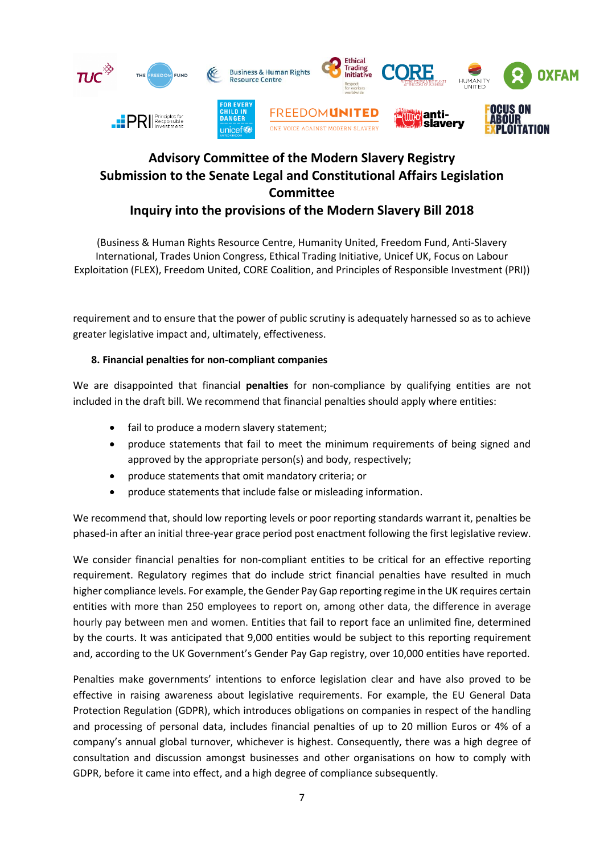

(Business & Human Rights Resource Centre, Humanity United, Freedom Fund, Anti-Slavery International, Trades Union Congress, Ethical Trading Initiative, Unicef UK, Focus on Labour Exploitation (FLEX), Freedom United, CORE Coalition, and Principles of Responsible Investment (PRI))

requirement and to ensure that the power of public scrutiny is adequately harnessed so as to achieve greater legislative impact and, ultimately, effectiveness.

### **8. Financial penalties for non-compliant companies**

We are disappointed that financial **penalties** for non-compliance by qualifying entities are not included in the draft bill. We recommend that financial penalties should apply where entities:

- fail to produce a modern slavery statement;
- produce statements that fail to meet the minimum requirements of being signed and approved by the appropriate person(s) and body, respectively;
- produce statements that omit mandatory criteria; or
- produce statements that include false or misleading information.

We recommend that, should low reporting levels or poor reporting standards warrant it, penalties be phased-in after an initial three-year grace period post enactment following the first legislative review.

We consider financial penalties for non-compliant entities to be critical for an effective reporting requirement. Regulatory regimes that do include strict financial penalties have resulted in much higher compliance levels. For example, the Gender Pay Gap reporting regime in the UK requires certain entities with more than 250 employees to report on, among other data, the difference in average hourly pay between men and women. Entities that fail to report face an unlimited fine, determined by the courts. It was anticipated that 9,000 entities would be subject to this reporting requirement and, according to the UK Government's Gender Pay Gap registry, over 10,000 entities have reported.

Penalties make governments' intentions to enforce legislation clear and have also proved to be effective in raising awareness about legislative requirements. For example, the EU General Data Protection Regulation (GDPR), which introduces obligations on companies in respect of the handling and processing of personal data, includes financial penalties of up to 20 million Euros or 4% of a company's annual global turnover, whichever is highest. Consequently, there was a high degree of consultation and discussion amongst businesses and other organisations on how to comply with GDPR, before it came into effect, and a high degree of compliance subsequently.